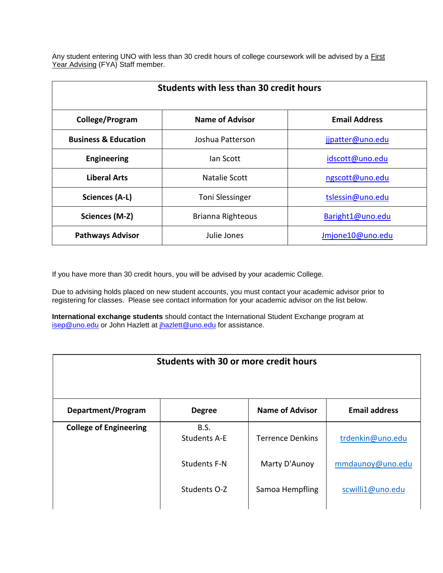Any student entering UNO with less than 30 credit hours of college coursework will be advised by a [First](http://www.uno.edu/first-year-advising/advisors.aspx)  [Year Advising](http://www.uno.edu/first-year-advising/advisors.aspx) (FYA) Staff member.

| <b>Students with less than 30 credit hours</b> |                          |                      |  |
|------------------------------------------------|--------------------------|----------------------|--|
| College/Program                                | <b>Name of Advisor</b>   | <b>Email Address</b> |  |
| <b>Business &amp; Education</b>                | Joshua Patterson         | jjpatter@uno.edu     |  |
| <b>Engineering</b>                             | lan Scott                | idscott@uno.edu      |  |
| <b>Liberal Arts</b>                            | Natalie Scott            | ngscott@uno.edu      |  |
| Sciences (A-L)                                 | <b>Toni Slessinger</b>   | tslessin@uno.edu     |  |
| Sciences (M-Z)                                 | <b>Brianna Righteous</b> | Baright1@uno.edu     |  |
| <b>Pathways Advisor</b>                        | Julie Jones              | Jmjone10@uno.edu     |  |

If you have more than 30 credit hours, you will be advised by your academic College.

Due to advising holds placed on new student accounts, you must contact your academic advisor prior to registering for classes. Please see contact information for your academic advisor on the list below.

**International exchange students** should contact the International Student Exchange program at [isep@uno.edu](mailto:isep@uno.edu) or John Hazlett at [jhazlett@uno.edu](mailto:jhazlett@uno.edu) for assistance.

| Students with 30 or more credit hours |                                    |                         |                      |
|---------------------------------------|------------------------------------|-------------------------|----------------------|
| Department/Program                    | <b>Degree</b>                      | <b>Name of Advisor</b>  | <b>Email address</b> |
| <b>College of Engineering</b>         | <b>B.S.</b><br><b>Students A-E</b> | <b>Terrence Denkins</b> | trdenkin@uno.edu     |
|                                       | <b>Students F-N</b>                | Marty D'Aunoy           | mmdaunoy@uno.edu     |
|                                       | Students O-Z                       | Samoa Hempfling         | scwilli1@uno.edu     |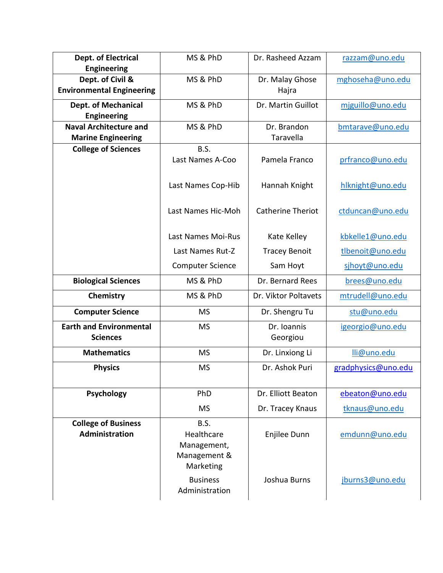| Dept. of Electrical                                  | MS & PhD                | Dr. Rasheed Azzam        | razzam@uno.edu      |
|------------------------------------------------------|-------------------------|--------------------------|---------------------|
| <b>Engineering</b>                                   |                         |                          |                     |
| Dept. of Civil &<br><b>Environmental Engineering</b> | MS & PhD                | Dr. Malay Ghose<br>Hajra | mghoseha@uno.edu    |
|                                                      |                         |                          |                     |
| <b>Dept. of Mechanical</b>                           | MS & PhD                | Dr. Martin Guillot       | mjguillo@uno.edu    |
| <b>Engineering</b>                                   |                         |                          |                     |
| <b>Naval Architecture and</b>                        | MS & PhD                | Dr. Brandon              | bmtarave@uno.edu    |
| <b>Marine Engineering</b>                            |                         | Taravella                |                     |
| <b>College of Sciences</b>                           | <b>B.S.</b>             |                          |                     |
|                                                      | Last Names A-Coo        | Pamela Franco            | prfranco@uno.edu    |
|                                                      |                         |                          |                     |
|                                                      | Last Names Cop-Hib      | Hannah Knight            | hlknight@uno.edu    |
|                                                      |                         |                          |                     |
|                                                      | Last Names Hic-Moh      | <b>Catherine Theriot</b> | ctduncan@uno.edu    |
|                                                      |                         |                          |                     |
|                                                      | Last Names Moi-Rus      | Kate Kelley              | kbkelle1@uno.edu    |
|                                                      | Last Names Rut-Z        | <b>Tracey Benoit</b>     | tlbenoit@uno.edu    |
|                                                      | <b>Computer Science</b> | Sam Hoyt                 | sjhoyt@uno.edu      |
| <b>Biological Sciences</b>                           | MS & PhD                | Dr. Bernard Rees         | brees@uno.edu       |
| Chemistry                                            | MS & PhD                | Dr. Viktor Poltavets     | mtrudell@uno.edu    |
| <b>Computer Science</b>                              | <b>MS</b>               | Dr. Shengru Tu           | stu@uno.edu         |
| <b>Earth and Environmental</b>                       | <b>MS</b>               | Dr. Ioannis              | igeorgio@uno.edu    |
| <b>Sciences</b>                                      |                         | Georgiou                 |                     |
| <b>Mathematics</b>                                   | <b>MS</b>               | Dr. Linxiong Li          | lli@uno.edu         |
| <b>Physics</b>                                       | <b>MS</b>               | Dr. Ashok Puri           | gradphysics@uno.edu |
|                                                      |                         |                          |                     |
| <b>Psychology</b>                                    | PhD                     | Dr. Elliott Beaton       | ebeaton@uno.edu     |
|                                                      | <b>MS</b>               | Dr. Tracey Knaus         | tknaus@uno.edu      |
| <b>College of Business</b>                           | B.S.                    |                          |                     |
| Administration                                       | Healthcare              | Enjilee Dunn             | emdunn@uno.edu      |
|                                                      | Management,             |                          |                     |
|                                                      | Management &            |                          |                     |
|                                                      | Marketing               |                          |                     |
|                                                      | <b>Business</b>         | Joshua Burns             | jburns3@uno.edu     |
|                                                      | Administration          |                          |                     |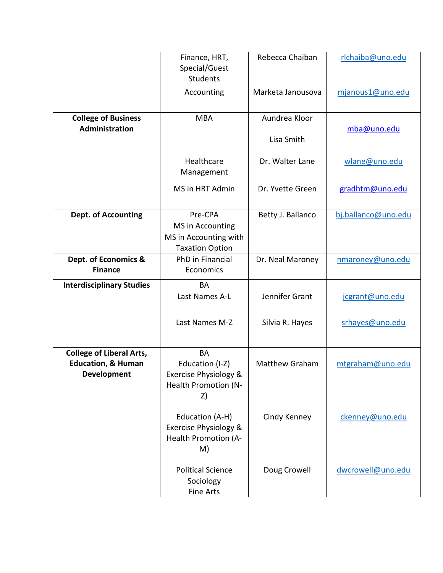|                                                                                        | Finance, HRT,<br>Special/Guest<br><b>Students</b>                                   | Rebecca Chaiban       | rlchaiba@uno.edu    |
|----------------------------------------------------------------------------------------|-------------------------------------------------------------------------------------|-----------------------|---------------------|
|                                                                                        | Accounting                                                                          | Marketa Janousova     | mjanous1@uno.edu    |
| <b>College of Business</b>                                                             | <b>MBA</b>                                                                          | Aundrea Kloor         |                     |
| Administration                                                                         |                                                                                     | Lisa Smith            | mba@uno.edu         |
|                                                                                        | Healthcare<br>Management                                                            | Dr. Walter Lane       | wlane@uno.edu       |
|                                                                                        | MS in HRT Admin                                                                     | Dr. Yvette Green      | gradhtm@uno.edu     |
| <b>Dept. of Accounting</b>                                                             | Pre-CPA                                                                             | Betty J. Ballanco     | bj.ballanco@uno.edu |
|                                                                                        | MS in Accounting<br>MS in Accounting with                                           |                       |                     |
|                                                                                        | <b>Taxation Option</b>                                                              |                       |                     |
| Dept. of Economics &<br><b>Finance</b>                                                 | PhD in Financial<br>Economics                                                       | Dr. Neal Maroney      | nmaroney@uno.edu    |
| <b>Interdisciplinary Studies</b>                                                       | <b>BA</b>                                                                           |                       |                     |
|                                                                                        | Last Names A-L                                                                      | Jennifer Grant        | jcgrant@uno.edu     |
|                                                                                        | Last Names M-Z                                                                      | Silvia R. Hayes       | srhayes@uno.edu     |
| <b>College of Liberal Arts,</b><br><b>Education, &amp; Human</b><br><b>Development</b> | <b>BA</b><br>Education (I-Z)<br>Exercise Physiology &<br>Health Promotion (N-<br>Z) | <b>Matthew Graham</b> | mtgraham@uno.edu    |
|                                                                                        | Education (A-H)<br>Exercise Physiology &<br>Health Promotion (A-<br>M)              | Cindy Kenney          | ckenney@uno.edu     |
|                                                                                        | <b>Political Science</b><br>Sociology<br><b>Fine Arts</b>                           | Doug Crowell          | dwcrowell@uno.edu   |